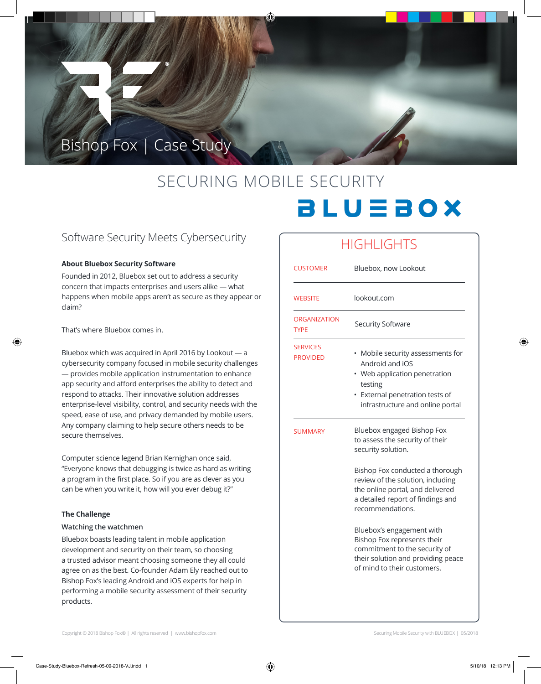## Bishop Fox | Case Study

# SECURING MOBILE SECURITY **BLUEBOX**

### Software Security Meets Cybersecurity

#### **About Bluebox Security Software**

Founded in 2012, Bluebox set out to address a security concern that impacts enterprises and users alike — what happens when mobile apps aren't as secure as they appear or claim?

That's where Bluebox comes in.

⊕

Bluebox which was acquired in April 2016 by Lookout — a cybersecurity company focused in mobile security challenges — provides mobile application instrumentation to enhance app security and afford enterprises the ability to detect and respond to attacks. Their innovative solution addresses enterprise-level visibility, control, and security needs with the speed, ease of use, and privacy demanded by mobile users. Any company claiming to help secure others needs to be secure themselves.

Computer science legend Brian Kernighan once said, "Everyone knows that debugging is twice as hard as writing a program in the first place. So if you are as clever as you can be when you write it, how will you ever debug it?"

#### **The Challenge**

#### **Watching the watchmen**

Bluebox boasts leading talent in mobile application development and security on their team, so choosing a trusted advisor meant choosing someone they all could agree on as the best. Co-founder Adam Ely reached out to Bishop Fox's leading Android and iOS experts for help in performing a mobile security assessment of their security products.

## **HIGHLIGHTS**

| <b>CUSTOMER</b>                    | Bluebox, now Lookout                                                                                                                                                                                                                                                                                                                                                                        |
|------------------------------------|---------------------------------------------------------------------------------------------------------------------------------------------------------------------------------------------------------------------------------------------------------------------------------------------------------------------------------------------------------------------------------------------|
| <b>WEBSITE</b>                     | lookout.com                                                                                                                                                                                                                                                                                                                                                                                 |
| <b>ORGANIZATION</b><br>TYPE        | Security Software                                                                                                                                                                                                                                                                                                                                                                           |
| <b>SERVICES</b><br><b>PROVIDED</b> | Mobile security assessments for<br>Android and iOS<br>Web application penetration<br>testing<br>External penetration tests of<br>infrastructure and online portal                                                                                                                                                                                                                           |
| <b>SUMMARY</b>                     | Bluebox engaged Bishop Fox<br>to assess the security of their<br>security solution.<br>Bishop Fox conducted a thorough<br>review of the solution, including<br>the online portal, and delivered<br>a detailed report of findings and<br>recommendations.<br>Bluebox's engagement with<br>Bishop Fox represents their<br>commitment to the security of<br>their solution and providing peace |
|                                    | of mind to their customers.                                                                                                                                                                                                                                                                                                                                                                 |
|                                    |                                                                                                                                                                                                                                                                                                                                                                                             |

Copyright © 2018 Bishop Fox® | All rights reserved | www.bishopfox.com Securing Mobile Security with BLUEBOX | 05/2018

⊕